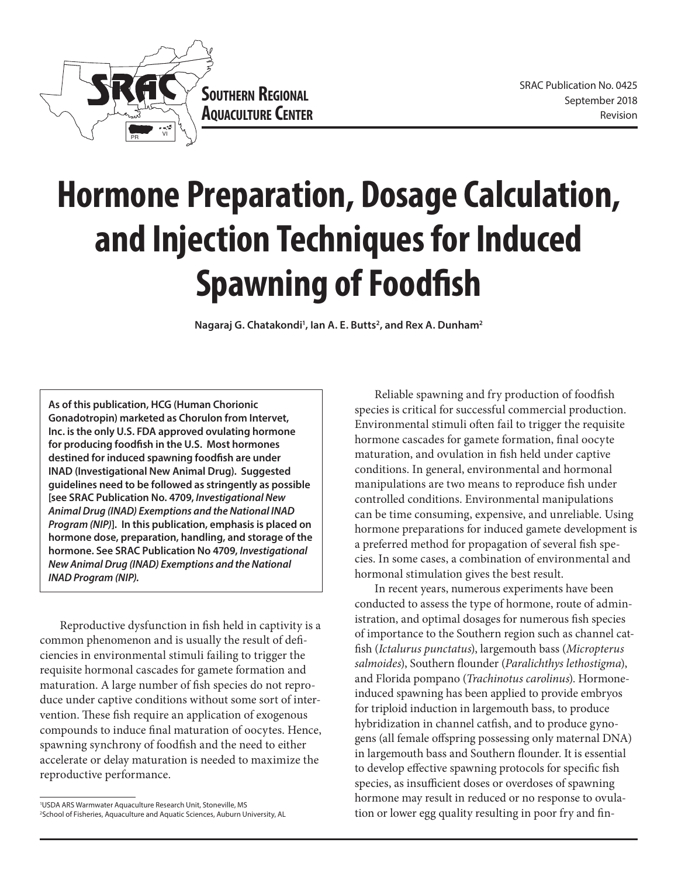

# **Hormone Preparation, Dosage Calculation, and Injection Techniques for Induced Spawning of Foodfish**

Nagaraj G. Chatakondi<sup>1</sup>, Ian A. E. Butts<sup>2</sup>, and Rex A. Dunham<sup>2</sup>

**As of this publication, HCG (Human Chorionic Gonadotropin) marketed as Chorulon from Intervet, Inc. is the only U.S. FDA approved ovulating hormone for producing foodfish in the U.S. Most hormones destined for induced spawning foodfish are under INAD (Investigational New Animal Drug). Suggested guidelines need to be followed as stringently as possible [see SRAC Publication No. 4709,** *Investigational New Animal Drug (INAD) Exemptions and the National INAD Program (NIP)***]. In this publication, emphasis is placed on hormone dose, preparation, handling, and storage of the hormone. See SRAC Publication No 4709,** *Investigational New Animal Drug (INAD) Exemptions and the National INAD Program (NIP).*

Reproductive dysfunction in fish held in captivity is a common phenomenon and is usually the result of deficiencies in environmental stimuli failing to trigger the requisite hormonal cascades for gamete formation and maturation. A large number of fish species do not reproduce under captive conditions without some sort of intervention. These fish require an application of exogenous compounds to induce final maturation of oocytes. Hence, spawning synchrony of foodfish and the need to either accelerate or delay maturation is needed to maximize the reproductive performance.

Reliable spawning and fry production of foodfish species is critical for successful commercial production. Environmental stimuli often fail to trigger the requisite hormone cascades for gamete formation, final oocyte maturation, and ovulation in fish held under captive conditions. In general, environmental and hormonal manipulations are two means to reproduce fish under controlled conditions. Environmental manipulations can be time consuming, expensive, and unreliable. Using hormone preparations for induced gamete development is a preferred method for propagation of several fish species. In some cases, a combination of environmental and hormonal stimulation gives the best result.

In recent years, numerous experiments have been conducted to assess the type of hormone, route of administration, and optimal dosages for numerous fish species of importance to the Southern region such as channel catfish (*Ictalurus punctatus*), largemouth bass (*Micropterus salmoides*), Southern flounder (*Paralichthys lethostigma*), and Florida pompano (*Trachinotus carolinus*). Hormoneinduced spawning has been applied to provide embryos for triploid induction in largemouth bass, to produce hybridization in channel catfish, and to produce gynogens (all female offspring possessing only maternal DNA) in largemouth bass and Southern flounder. It is essential to develop effective spawning protocols for specific fish species, as insufficient doses or overdoses of spawning hormone may result in reduced or no response to ovulation or lower egg quality resulting in poor fry and fin-

<sup>1</sup> USDA ARS Warmwater Aquaculture Research Unit, Stoneville, MS 2 School of Fisheries, Aquaculture and Aquatic Sciences, Auburn University, AL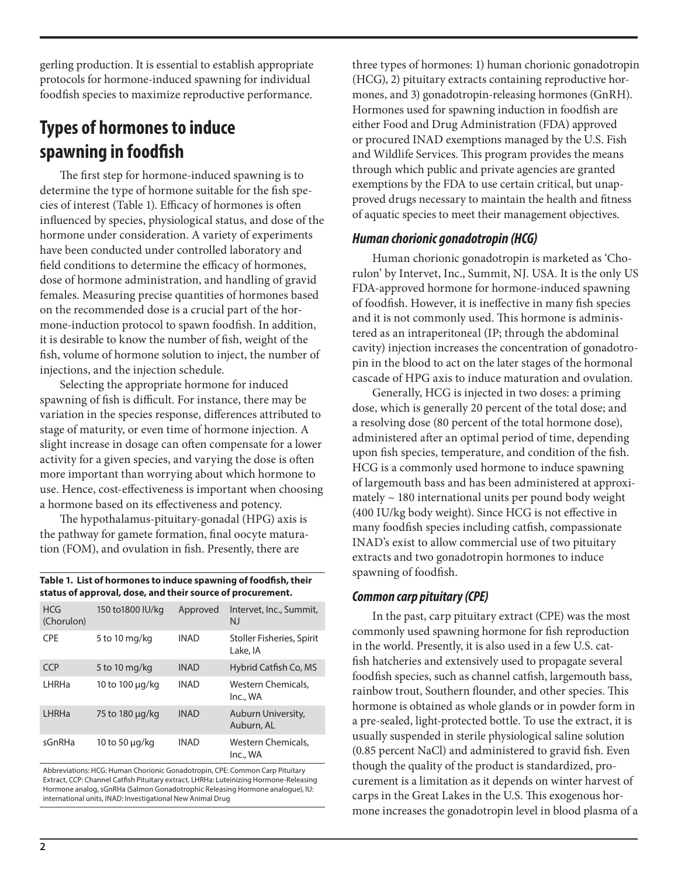gerling production. It is essential to establish appropriate protocols for hormone-induced spawning for individual foodfish species to maximize reproductive performance.

# **Types of hormones to induce spawning in foodfish**

The first step for hormone-induced spawning is to determine the type of hormone suitable for the fish species of interest (Table 1). Efficacy of hormones is often influenced by species, physiological status, and dose of the hormone under consideration. A variety of experiments have been conducted under controlled laboratory and field conditions to determine the efficacy of hormones, dose of hormone administration, and handling of gravid females. Measuring precise quantities of hormones based on the recommended dose is a crucial part of the hormone-induction protocol to spawn foodfish. In addition, it is desirable to know the number of fish, weight of the fish, volume of hormone solution to inject, the number of injections, and the injection schedule.

Selecting the appropriate hormone for induced spawning of fish is difficult. For instance, there may be variation in the species response, differences attributed to stage of maturity, or even time of hormone injection. A slight increase in dosage can often compensate for a lower activity for a given species, and varying the dose is often more important than worrying about which hormone to use. Hence, cost-effectiveness is important when choosing a hormone based on its effectiveness and potency.

The hypothalamus-pituitary-gonadal (HPG) axis is the pathway for gamete formation, final oocyte maturation (FOM), and ovulation in fish. Presently, there are

| Table 1. List of hormones to induce spawning of foodfish, their |  |
|-----------------------------------------------------------------|--|
| status of approval, dose, and their source of procurement.      |  |

| <b>HCG</b><br>(Chorulon) | 150 to 1800 IU/kg | Approved    | Intervet, Inc., Summit,<br><b>NJ</b>  |
|--------------------------|-------------------|-------------|---------------------------------------|
| <b>CPF</b>               | 5 to 10 mg/kg     | <b>INAD</b> | Stoller Fisheries, Spirit<br>Lake, JA |
| <b>CCP</b>               | 5 to 10 mg/kg     | <b>INAD</b> | Hybrid Catfish Co, MS                 |
| LHRHa                    | 10 to 100 μg/kg   | <b>INAD</b> | Western Chemicals.<br>Inc., WA        |
| LHRHa                    | 75 to 180 µg/kg   | <b>INAD</b> | Auburn University,<br>Auburn, AL      |
| sGnRHa                   | 10 to 50 µg/kg    | <b>INAD</b> | Western Chemicals.<br>Inc., WA        |

Abbreviations: HCG: Human Chorionic Gonadotropin, CPE: Common Carp Pituitary Extract, CCP: Channel Catfish Pituitary extract, LHRHa: Luteinizing Hormone-Releasing Hormone analog, sGnRHa (Salmon Gonadotrophic Releasing Hormone analogue), IU: international units, INAD: Investigational New Animal Drug

three types of hormones: 1) human chorionic gonadotropin (HCG), 2) pituitary extracts containing reproductive hormones, and 3) gonadotropin-releasing hormones (GnRH). Hormones used for spawning induction in foodfish are either Food and Drug Administration (FDA) approved or procured INAD exemptions managed by the U.S. Fish and Wildlife Services. This program provides the means through which public and private agencies are granted exemptions by the FDA to use certain critical, but unapproved drugs necessary to maintain the health and fitness of aquatic species to meet their management objectives.

#### *Human chorionic gonadotropin (HCG)*

Human chorionic gonadotropin is marketed as 'Chorulon' by Intervet, Inc., Summit, NJ. USA. It is the only US FDA-approved hormone for hormone-induced spawning of foodfish. However, it is ineffective in many fish species and it is not commonly used. This hormone is administered as an intraperitoneal (IP; through the abdominal cavity) injection increases the concentration of gonadotropin in the blood to act on the later stages of the hormonal cascade of HPG axis to induce maturation and ovulation.

Generally, HCG is injected in two doses: a priming dose, which is generally 20 percent of the total dose; and a resolving dose (80 percent of the total hormone dose), administered after an optimal period of time, depending upon fish species, temperature, and condition of the fish. HCG is a commonly used hormone to induce spawning of largemouth bass and has been administered at approximately  $\sim$  180 international units per pound body weight (400 IU/kg body weight). Since HCG is not effective in many foodfish species including catfish, compassionate INAD's exist to allow commercial use of two pituitary extracts and two gonadotropin hormones to induce spawning of foodfish.

#### *Common carp pituitary (CPE)*

In the past, carp pituitary extract (CPE) was the most commonly used spawning hormone for fish reproduction in the world. Presently, it is also used in a few U.S. catfish hatcheries and extensively used to propagate several foodfish species, such as channel catfish, largemouth bass, rainbow trout, Southern flounder, and other species. This hormone is obtained as whole glands or in powder form in a pre-sealed, light-protected bottle. To use the extract, it is usually suspended in sterile physiological saline solution (0.85 percent NaCl) and administered to gravid fish. Even though the quality of the product is standardized, procurement is a limitation as it depends on winter harvest of carps in the Great Lakes in the U.S. This exogenous hormone increases the gonadotropin level in blood plasma of a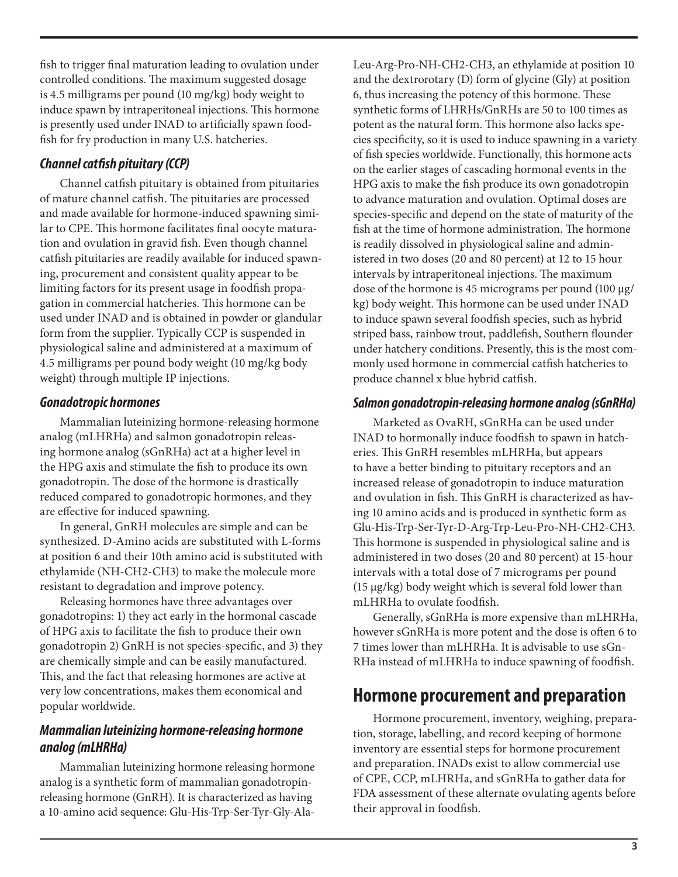fish to trigger final maturation leading to ovulation under controlled conditions. The maximum suggested dosage is 4.5 milligrams per pound (10 mg/kg) body weight to induce spawn by intraperitoneal injections. This hormone is presently used under INAD to artificially spawn foodfish for fry production in many U.S. hatcheries.

## *Channel catfish pituitary (CCP)*

Channel catfish pituitary is obtained from pituitaries of mature channel catfish. The pituitaries are processed and made available for hormone-induced spawning similar to CPE. This hormone facilitates final oocyte maturation and ovulation in gravid fish. Even though channel catfish pituitaries are readily available for induced spawning, procurement and consistent quality appear to be limiting factors for its present usage in foodfish propagation in commercial hatcheries. This hormone can be used under INAD and is obtained in powder or glandular form from the supplier. Typically CCP is suspended in physiological saline and administered at a maximum of 4.5 milligrams per pound body weight (10 mg/kg body weight) through multiple IP injections.

#### *Gonadotropic hormones*

Mammalian luteinizing hormone-releasing hormone analog (mLHRHa) and salmon gonadotropin releasing hormone analog (sGnRHa) act at a higher level in the HPG axis and stimulate the fish to produce its own gonadotropin. The dose of the hormone is drastically reduced compared to gonadotropic hormones, and they are effective for induced spawning.

In general, GnRH molecules are simple and can be synthesized. D-Amino acids are substituted with L-forms at position 6 and their 10th amino acid is substituted with ethylamide (NH-CH2-CH3) to make the molecule more resistant to degradation and improve potency.

Releasing hormones have three advantages over gonadotropins: 1) they act early in the hormonal cascade of HPG axis to facilitate the fish to produce their own gonadotropin 2) GnRH is not species-specific, and 3) they are chemically simple and can be easily manufactured. This, and the fact that releasing hormones are active at very low concentrations, makes them economical and popular worldwide.

### *Mammalian luteinizing hormone-releasing hormone analog (mLHRHa)*

Mammalian luteinizing hormone releasing hormone analog is a synthetic form of mammalian gonadotropinreleasing hormone (GnRH). It is characterized as having a 10-amino acid sequence: Glu-His-Trp-Ser-Tyr-Gly-AlaLeu-Arg-Pro-NH-CH2-CH3, an ethylamide at position 10 and the dextrorotary (D) form of glycine (Gly) at position 6, thus increasing the potency of this hormone. These synthetic forms of LHRHs/GnRHs are 50 to 100 times as potent as the natural form. This hormone also lacks species specificity, so it is used to induce spawning in a variety of fish species worldwide. Functionally, this hormone acts on the earlier stages of cascading hormonal events in the HPG axis to make the fish produce its own gonadotropin to advance maturation and ovulation. Optimal doses are species-specific and depend on the state of maturity of the fish at the time of hormone administration. The hormone is readily dissolved in physiological saline and administered in two doses (20 and 80 percent) at 12 to 15 hour intervals by intraperitoneal injections. The maximum dose of the hormone is 45 micrograms per pound (100 µg/ kg) body weight. This hormone can be used under INAD to induce spawn several foodfish species, such as hybrid striped bass, rainbow trout, paddlefish, Southern flounder under hatchery conditions. Presently, this is the most commonly used hormone in commercial catfish hatcheries to produce channel x blue hybrid catfish.

#### *Salmon gonadotropin-releasing hormone analog (sGnRHa)*

Marketed as OvaRH, sGnRHa can be used under INAD to hormonally induce foodfish to spawn in hatcheries. This GnRH resembles mLHRHa, but appears to have a better binding to pituitary receptors and an increased release of gonadotropin to induce maturation and ovulation in fish. This GnRH is characterized as having 10 amino acids and is produced in synthetic form as Glu-His-Trp-Ser-Tyr-D-Arg-Trp-Leu-Pro-NH-CH2-CH3. This hormone is suspended in physiological saline and is administered in two doses (20 and 80 percent) at 15-hour intervals with a total dose of 7 micrograms per pound (15 µg/kg) body weight which is several fold lower than mLHRHa to ovulate foodfish.

Generally, sGnRHa is more expensive than mLHRHa, however sGnRHa is more potent and the dose is often 6 to 7 times lower than mLHRHa. It is advisable to use sGn-RHa instead of mLHRHa to induce spawning of foodfish.

## **Hormone procurement and preparation**

Hormone procurement, inventory, weighing, preparation, storage, labelling, and record keeping of hormone inventory are essential steps for hormone procurement and preparation. INADs exist to allow commercial use of CPE, CCP, mLHRHa, and sGnRHa to gather data for FDA assessment of these alternate ovulating agents before their approval in foodfish.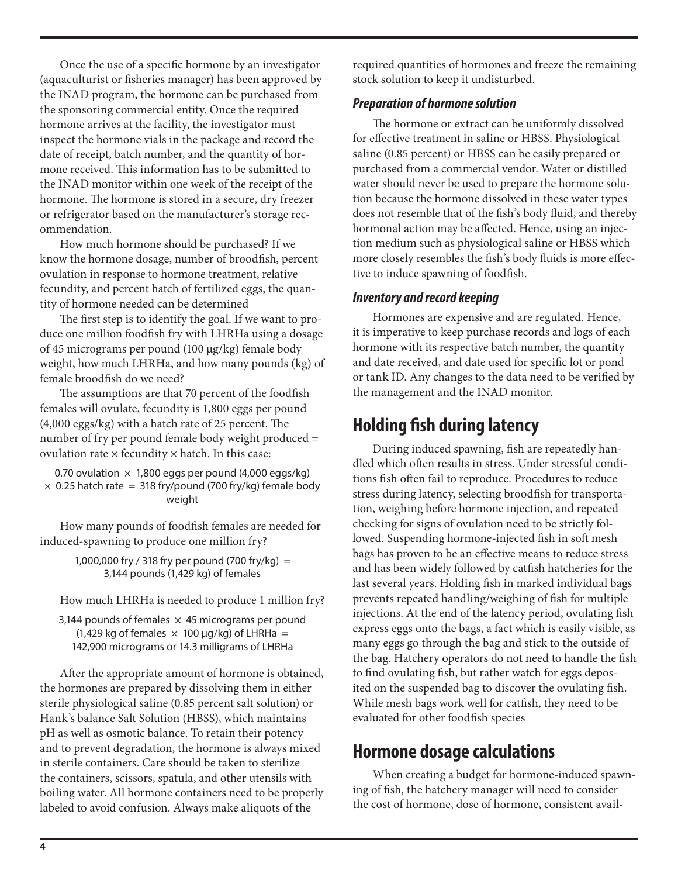Once the use of a specific hormone by an investigator (aquaculturist or fisheries manager) has been approved by the INAD program, the hormone can be purchased from the sponsoring commercial entity. Once the required hormone arrives at the facility, the investigator must inspect the hormone vials in the package and record the date of receipt, batch number, and the quantity of hormone received. This information has to be submitted to the INAD monitor within one week of the receipt of the hormone. The hormone is stored in a secure, dry freezer or refrigerator based on the manufacturer's storage recommendation.

How much hormone should be purchased? If we know the hormone dosage, number of broodfish, percent ovulation in response to hormone treatment, relative fecundity, and percent hatch of fertilized eggs, the quantity of hormone needed can be determined

The first step is to identify the goal. If we want to produce one million foodfish fry with LHRHa using a dosage of 45 micrograms per pound (100 µg/kg) female body weight, how much LHRHa, and how many pounds (kg) of female broodfish do we need?

The assumptions are that 70 percent of the foodfish females will ovulate, fecundity is 1,800 eggs per pound (4,000 eggs/kg) with a hatch rate of 25 percent. The number of fry per pound female body weight produced = ovulation rate  $\times$  fecundity  $\times$  hatch. In this case:

0.70 ovulation  $\times$  1,800 eggs per pound (4,000 eggs/kg)  $\times$  0.25 hatch rate = 318 fry/pound (700 fry/kg) female body weight

How many pounds of foodfish females are needed for induced-spawning to produce one million fry?

> 1,000,000 fry / 318 fry per pound (700 fry/kg) = 3,144 pounds (1,429 kg) of females

How much LHRHa is needed to produce 1 million fry?

3,144 pounds of females  $\times$  45 micrograms per pound (1,429 kg of females  $\times$  100  $\mu$ g/kg) of LHRHa = 142,900 micrograms or 14.3 milligrams of LHRHa

After the appropriate amount of hormone is obtained, the hormones are prepared by dissolving them in either sterile physiological saline (0.85 percent salt solution) or Hank's balance Salt Solution (HBSS), which maintains pH as well as osmotic balance. To retain their potency and to prevent degradation, the hormone is always mixed in sterile containers. Care should be taken to sterilize the containers, scissors, spatula, and other utensils with boiling water. All hormone containers need to be properly labeled to avoid confusion. Always make aliquots of the

required quantities of hormones and freeze the remaining stock solution to keep it undisturbed.

## *Preparation of hormone solution*

The hormone or extract can be uniformly dissolved for effective treatment in saline or HBSS. Physiological saline (0.85 percent) or HBSS can be easily prepared or purchased from a commercial vendor. Water or distilled water should never be used to prepare the hormone solution because the hormone dissolved in these water types does not resemble that of the fish's body fluid, and thereby hormonal action may be affected. Hence, using an injection medium such as physiological saline or HBSS which more closely resembles the fish's body fluids is more effective to induce spawning of foodfish.

## *Inventory and record keeping*

Hormones are expensive and are regulated. Hence, it is imperative to keep purchase records and logs of each hormone with its respective batch number, the quantity and date received, and date used for specific lot or pond or tank ID. Any changes to the data need to be verified by the management and the INAD monitor.

## **Holding fish during latency**

During induced spawning, fish are repeatedly handled which often results in stress. Under stressful conditions fish often fail to reproduce. Procedures to reduce stress during latency, selecting broodfish for transportation, weighing before hormone injection, and repeated checking for signs of ovulation need to be strictly followed. Suspending hormone-injected fish in soft mesh bags has proven to be an effective means to reduce stress and has been widely followed by catfish hatcheries for the last several years. Holding fish in marked individual bags prevents repeated handling/weighing of fish for multiple injections. At the end of the latency period, ovulating fish express eggs onto the bags, a fact which is easily visible, as many eggs go through the bag and stick to the outside of the bag. Hatchery operators do not need to handle the fish to find ovulating fish, but rather watch for eggs deposited on the suspended bag to discover the ovulating fish. While mesh bags work well for catfish, they need to be evaluated for other foodfish species

## **Hormone dosage calculations**

When creating a budget for hormone-induced spawning of fish, the hatchery manager will need to consider the cost of hormone, dose of hormone, consistent avail-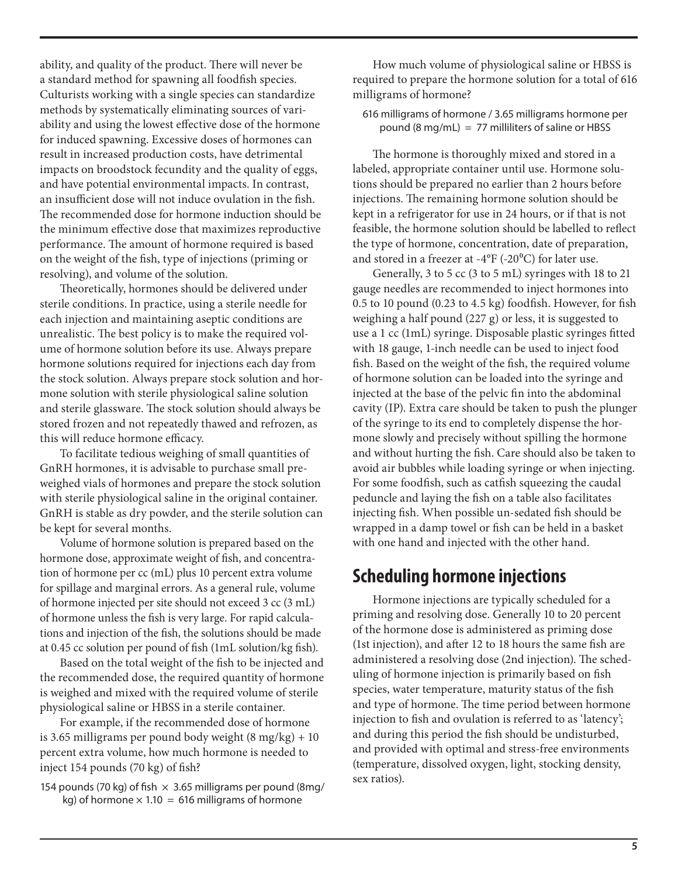ability, and quality of the product. There will never be a standard method for spawning all foodfish species. Culturists working with a single species can standardize methods by systematically eliminating sources of variability and using the lowest effective dose of the hormone for induced spawning. Excessive doses of hormones can result in increased production costs, have detrimental impacts on broodstock fecundity and the quality of eggs, and have potential environmental impacts. In contrast, an insufficient dose will not induce ovulation in the fish. The recommended dose for hormone induction should be the minimum effective dose that maximizes reproductive performance. The amount of hormone required is based on the weight of the fish, type of injections (priming or resolving), and volume of the solution.

Theoretically, hormones should be delivered under sterile conditions. In practice, using a sterile needle for each injection and maintaining aseptic conditions are unrealistic. The best policy is to make the required volume of hormone solution before its use. Always prepare hormone solutions required for injections each day from the stock solution. Always prepare stock solution and hormone solution with sterile physiological saline solution and sterile glassware. The stock solution should always be stored frozen and not repeatedly thawed and refrozen, as this will reduce hormone efficacy.

To facilitate tedious weighing of small quantities of GnRH hormones, it is advisable to purchase small preweighed vials of hormones and prepare the stock solution with sterile physiological saline in the original container. GnRH is stable as dry powder, and the sterile solution can be kept for several months.

Volume of hormone solution is prepared based on the hormone dose, approximate weight of fish, and concentration of hormone per cc (mL) plus 10 percent extra volume for spillage and marginal errors. As a general rule, volume of hormone injected per site should not exceed 3 cc (3 mL) of hormone unless the fish is very large. For rapid calculations and injection of the fish, the solutions should be made at 0.45 cc solution per pound of fish (1mL solution/kg fish).

Based on the total weight of the fish to be injected and the recommended dose, the required quantity of hormone is weighed and mixed with the required volume of sterile physiological saline or HBSS in a sterile container.

For example, if the recommended dose of hormone is 3.65 milligrams per pound body weight  $(8 \text{ mg/kg}) + 10$ percent extra volume, how much hormone is needed to inject 154 pounds (70 kg) of fish?

154 pounds (70 kg) of fish  $\times$  3.65 milligrams per pound (8mg/ kg) of hormone  $\times$  1.10 = 616 milligrams of hormone

How much volume of physiological saline or HBSS is required to prepare the hormone solution for a total of 616 milligrams of hormone?

616 milligrams of hormone / 3.65 milligrams hormone per pound (8 mg/mL) = 77 milliliters of saline or HBSS

The hormone is thoroughly mixed and stored in a labeled, appropriate container until use. Hormone solutions should be prepared no earlier than 2 hours before injections. The remaining hormone solution should be kept in a refrigerator for use in 24 hours, or if that is not feasible, the hormone solution should be labelled to reflect the type of hormone, concentration, date of preparation, and stored in a freezer at -4 $\rm{PF}$  (-20 $\rm{O}^{\rm{O}}$ C) for later use.

Generally, 3 to 5 cc (3 to 5 mL) syringes with 18 to 21 gauge needles are recommended to inject hormones into 0.5 to 10 pound (0.23 to 4.5 kg) foodfish. However, for fish weighing a half pound (227 g) or less, it is suggested to use a 1 cc (1mL) syringe. Disposable plastic syringes fitted with 18 gauge, 1-inch needle can be used to inject food fish. Based on the weight of the fish, the required volume of hormone solution can be loaded into the syringe and injected at the base of the pelvic fin into the abdominal cavity (IP). Extra care should be taken to push the plunger of the syringe to its end to completely dispense the hormone slowly and precisely without spilling the hormone and without hurting the fish. Care should also be taken to avoid air bubbles while loading syringe or when injecting. For some foodfish, such as catfish squeezing the caudal peduncle and laying the fish on a table also facilitates injecting fish. When possible un-sedated fish should be wrapped in a damp towel or fish can be held in a basket with one hand and injected with the other hand.

## **Scheduling hormone injections**

Hormone injections are typically scheduled for a priming and resolving dose. Generally 10 to 20 percent of the hormone dose is administered as priming dose (1st injection), and after 12 to 18 hours the same fish are administered a resolving dose (2nd injection). The scheduling of hormone injection is primarily based on fish species, water temperature, maturity status of the fish and type of hormone. The time period between hormone injection to fish and ovulation is referred to as 'latency'; and during this period the fish should be undisturbed, and provided with optimal and stress-free environments (temperature, dissolved oxygen, light, stocking density, sex ratios).